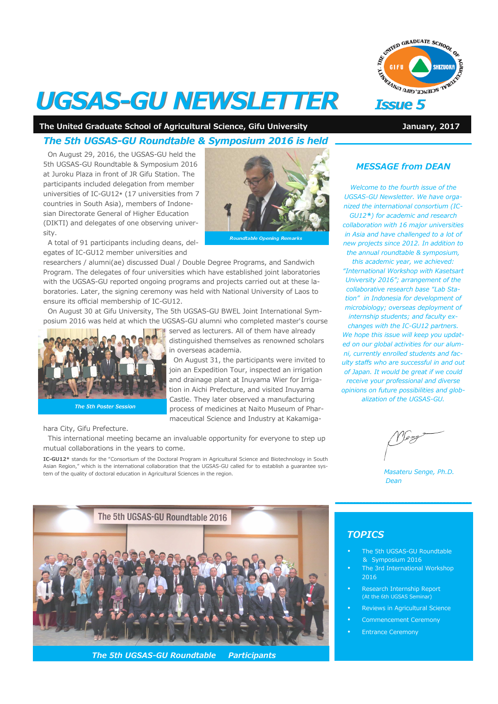

# **UGSAS-GU NEWSLETTER** Issue 5

The United Graduate School of Agricultural Science, Gifu University **January, 2017** January, 2017

# The 5th UGSAS-GU Roundtable & Symposium 2016 is held

On August 29, 2016, the UGSAS-GU held the 5th UGSAS-GU Roundtable & Symposium 2016 at Juroku Plaza in front of JR Gifu Station. The participants included delegation from member universities of IC-GU12\* (17 universities from 7 countries in South Asia), members of Indonesian Directorate General of Higher Education (DIKTI) and delegates of one observing university.



served as lecturers. All of them have already distinguished themselves as renowned scholars

On August 31, the participants were invited to join an Expedition Tour, inspected an irrigation and drainage plant at Inuyama Wier for Irrigation in Aichi Prefecture, and visited Inuyama Castle. They later observed a manufacturing process of medicines at Naito Museum of Pharmaceutical Science and Industry at Kakamiga-

A total of 91 participants including deans, delegates of IC-GU12 member universities and

researchers / alumni(ae) discussed Dual / Double Degree Programs, and Sandwich Program. The delegates of four universities which have established joint laboratories with the UGSAS-GU reported ongoing programs and projects carried out at these laboratories. Later, the signing ceremony was held with National University of Laos to ensure its official membership of IC-GU12.

On August 30 at Gifu University, The 5th UGSAS-GU BWEL Joint International Symposium 2016 was held at which the UGSAS-GU alumni who completed master's course

in overseas academia.



The 5th Poster Session

hara City, Gifu Prefecture.

This international meeting became an invaluable opportunity for everyone to step up mutual collaborations in the years to come.

IC-GU12\* stands for the "Consortium of the Doctoral Program in Agricultural Science and Biotechnology in South Asian Region," which is the international collaboration that the UGSAS-GU called for to establish a guarantee system of the quality of doctoral education in Agricultural Sciences in the region.



The 5th UGSAS-GU Roundtable Participants

### MESSAGE from DEAN

Welcome to the fourth issue of the UGSAS-GU Newsletter. We have organized the international consortium (IC-GU12\*) for academic and research collaboration with 16 major universities in Asia and have challenged to a lot of new projects since 2012. In addition to the annual roundtable & symposium, this academic year, we achieved: "International Workshop with Kasetsart University 2016"; arrangement of the

collaborative research base "Lab Station" in Indonesia for development of microbiology; overseas deployment of internship students; and faculty ex-

changes with the IC-GU12 partners. We hope this issue will keep you updated on our global activities for our alumni, currently enrolled students and faculty staffs who are successful in and out of Japan. It would be great if we could receive your professional and diverse opinions on future possibilities and globalization of the UGSAS-GU.

 Masateru Senge, Ph.D. Dean

## **TOPICS**

- The 5th UGSAS-GU Roundtable & Symposium 2016
- The 3rd International Workshop 2016
- Research Internship Report (At the 6th UGSAS Seminar)
- Reviews in Agricultural Science
- Commencement Ceremony
- Entrance Ceremony